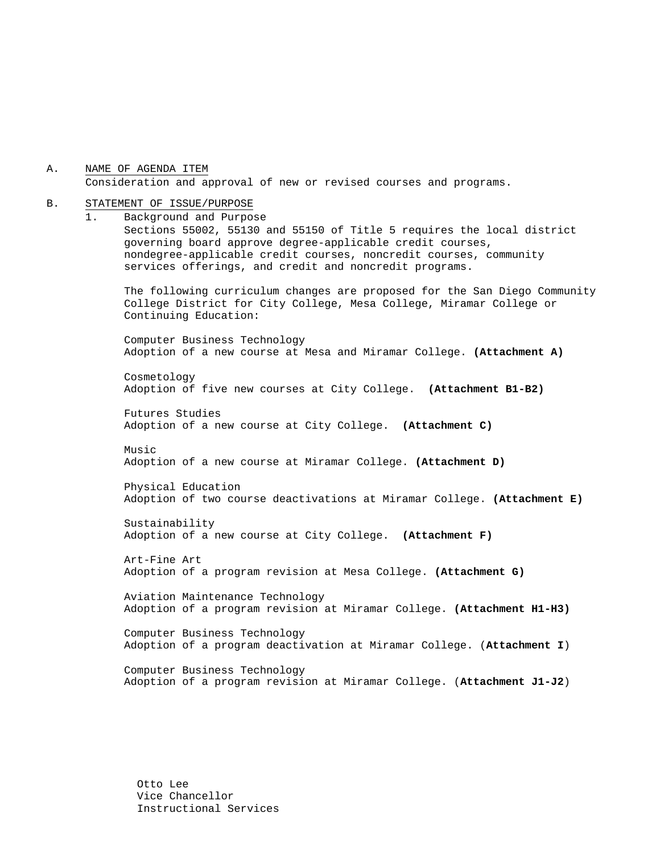A. NAME OF AGENDA ITEM Consideration and approval of new or revised courses and programs.

#### B. STATEMENT OF ISSUE/PURPOSE

1. Background and Purpose Sections 55002, 55130 and 55150 of Title 5 requires the local district governing board approve degree-applicable credit courses, nondegree-applicable credit courses, noncredit courses, community services offerings, and credit and noncredit programs.

The following curriculum changes are proposed for the San Diego Community College District for City College, Mesa College, Miramar College or Continuing Education:

Computer Business Technology Adoption of a new course at Mesa and Miramar College. **(Attachment A)** 

Cosmetology Adoption of five new courses at City College. **(Attachment B1-B2)**

Futures Studies Adoption of a new course at City College. **(Attachment C)** 

Music Adoption of a new course at Miramar College. **(Attachment D)**

Physical Education Adoption of two course deactivations at Miramar College. **(Attachment E)**

Sustainability Adoption of a new course at City College. **(Attachment F)** 

Art-Fine Art Adoption of a program revision at Mesa College. **(Attachment G)**

Aviation Maintenance Technology Adoption of a program revision at Miramar College. **(Attachment H1-H3)**

Computer Business Technology Adoption of a program deactivation at Miramar College. (**Attachment I**)

Computer Business Technology Adoption of a program revision at Miramar College. (**Attachment J1-J2**)

Otto Lee Vice Chancellor Instructional Services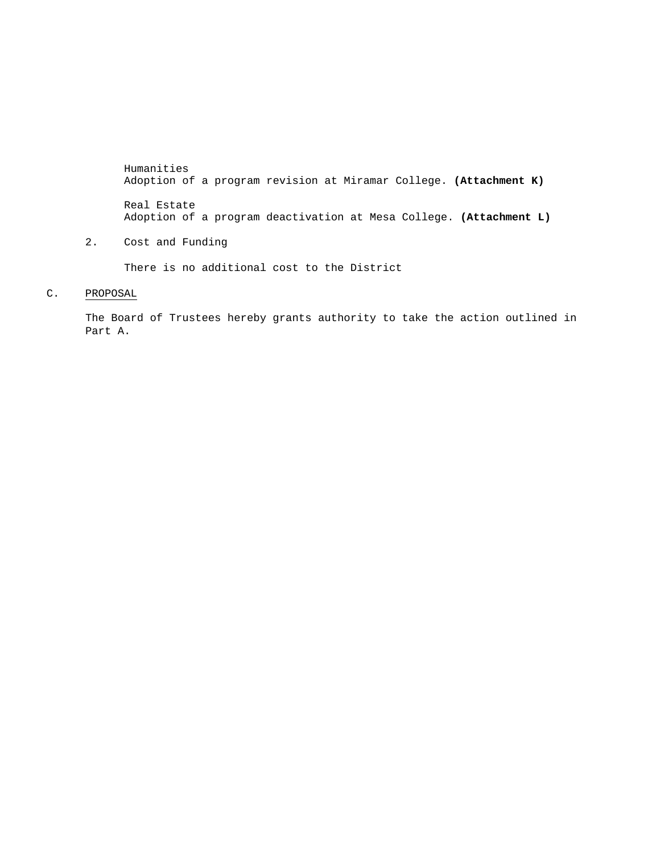Humanities Adoption of a program revision at Miramar College. **(Attachment K)**  Real Estate Adoption of a program deactivation at Mesa College. **(Attachment L)**

2. Cost and Funding

There is no additional cost to the District

### C. PROPOSAL

The Board of Trustees hereby grants authority to take the action outlined in Part A.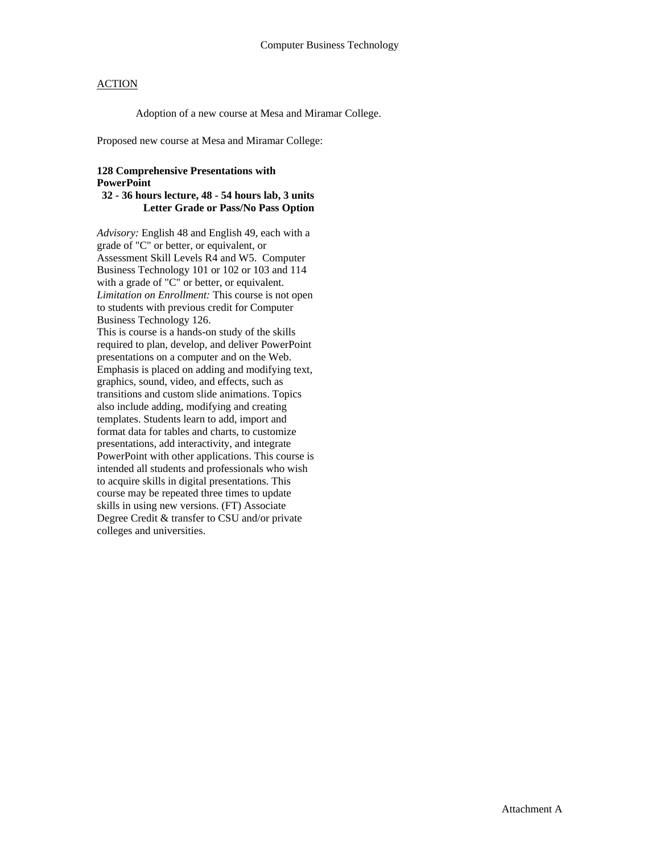Adoption of a new course at Mesa and Miramar College.

Proposed new course at Mesa and Miramar College:

### **128 Comprehensive Presentations with PowerPoint**

#### **32 - 36 hours lecture, 48 - 54 hours lab, 3 units Letter Grade or Pass/No Pass Option**

*Advisory:* English 48 and English 49, each with a grade of "C" or better, or equivalent, or Assessment Skill Levels R4 and W5. Computer Business Technology 101 or 102 or 103 and 114 with a grade of "C" or better, or equivalent. *Limitation on Enrollment:* This course is not open to students with previous credit for Computer Business Technology 126. This is course is a hands-on study of the skills required to plan, develop, and deliver PowerPoint presentations on a computer and on the Web. Emphasis is placed on adding and modifying text, graphics, sound, video, and effects, such as transitions and custom slide animations. Topics also include adding, modifying and creating templates. Students learn to add, import and format data for tables and charts, to customize presentations, add interactivity, and integrate PowerPoint with other applications. This course is intended all students and professionals who wish to acquire skills in digital presentations. This course may be repeated three times to update skills in using new versions. (FT) Associate Degree Credit & transfer to CSU and/or private colleges and universities.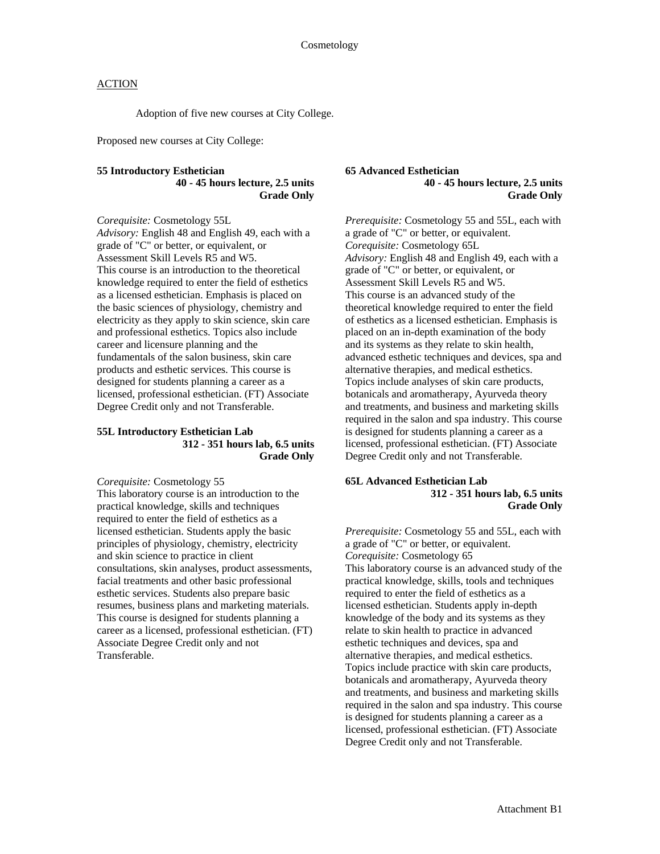Adoption of five new courses at City College.

Proposed new courses at City College:

#### **55 Introductory Esthetician 40 - 45 hours lecture, 2.5 units Grade Only**

*Corequisite:* Cosmetology 55L

*Advisory:* English 48 and English 49, each with a grade of "C" or better, or equivalent, or Assessment Skill Levels R5 and W5. This course is an introduction to the theoretical knowledge required to enter the field of esthetics as a licensed esthetician. Emphasis is placed on the basic sciences of physiology, chemistry and electricity as they apply to skin science, skin care and professional esthetics. Topics also include career and licensure planning and the fundamentals of the salon business, skin care products and esthetic services. This course is designed for students planning a career as a licensed, professional esthetician. (FT) Associate Degree Credit only and not Transferable.

#### **55L Introductory Esthetician Lab 312 - 351 hours lab, 6.5 units Grade Only**

*Corequisite:* Cosmetology 55 This laboratory course is an introduction to the practical knowledge, skills and techniques required to enter the field of esthetics as a licensed esthetician. Students apply the basic principles of physiology, chemistry, electricity and skin science to practice in client consultations, skin analyses, product assessments, facial treatments and other basic professional esthetic services. Students also prepare basic resumes, business plans and marketing materials. This course is designed for students planning a career as a licensed, professional esthetician. (FT) Associate Degree Credit only and not Transferable.

#### **65 Advanced Esthetician 40 - 45 hours lecture, 2.5 units Grade Only**

*Prerequisite:* Cosmetology 55 and 55L, each with a grade of "C" or better, or equivalent. *Corequisite:* Cosmetology 65L *Advisory:* English 48 and English 49, each with a grade of "C" or better, or equivalent, or Assessment Skill Levels R5 and W5. This course is an advanced study of the theoretical knowledge required to enter the field of esthetics as a licensed esthetician. Emphasis is placed on an in-depth examination of the body and its systems as they relate to skin health, advanced esthetic techniques and devices, spa and alternative therapies, and medical esthetics. Topics include analyses of skin care products, botanicals and aromatherapy, Ayurveda theory and treatments, and business and marketing skills required in the salon and spa industry. This course is designed for students planning a career as a licensed, professional esthetician. (FT) Associate Degree Credit only and not Transferable.

#### **65L Advanced Esthetician Lab 312 - 351 hours lab, 6.5 units Grade Only**

*Prerequisite:* Cosmetology 55 and 55L, each with a grade of "C" or better, or equivalent. *Corequisite:* Cosmetology 65 This laboratory course is an advanced study of the practical knowledge, skills, tools and techniques required to enter the field of esthetics as a licensed esthetician. Students apply in-depth knowledge of the body and its systems as they relate to skin health to practice in advanced esthetic techniques and devices, spa and alternative therapies, and medical esthetics. Topics include practice with skin care products, botanicals and aromatherapy, Ayurveda theory and treatments, and business and marketing skills required in the salon and spa industry. This course is designed for students planning a career as a licensed, professional esthetician. (FT) Associate Degree Credit only and not Transferable.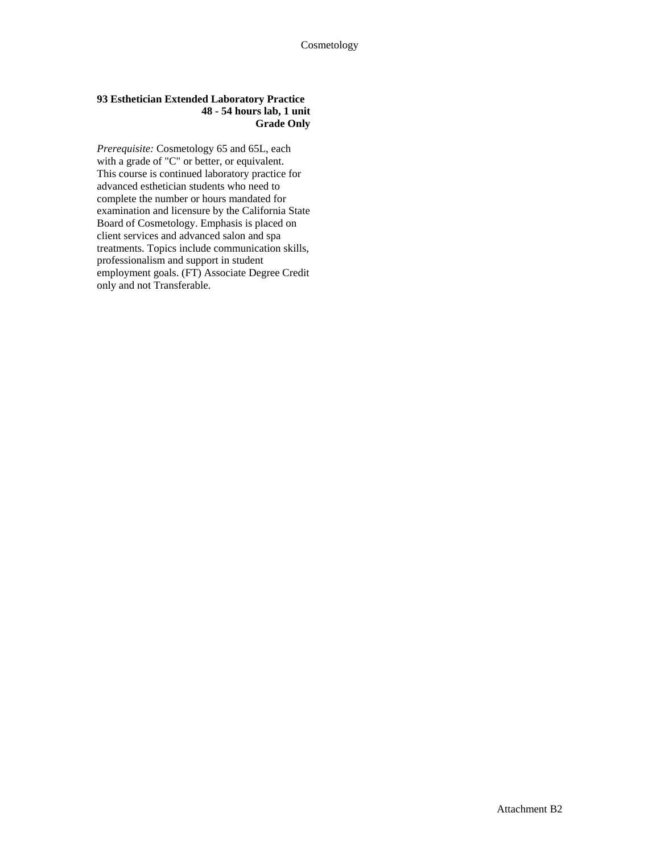#### **93 Esthetician Extended Laboratory Practice 48 - 54 hours lab, 1 unit Grade Only**

*Prerequisite:* Cosmetology 65 and 65L, each with a grade of "C" or better, or equivalent. This course is continued laboratory practice for advanced esthetician students who need to complete the number or hours mandated for examination and licensure by the California State Board of Cosmetology. Emphasis is placed on client services and advanced salon and spa treatments. Topics include communication skills, professionalism and support in student employment goals. (FT) Associate Degree Credit only and not Transferable.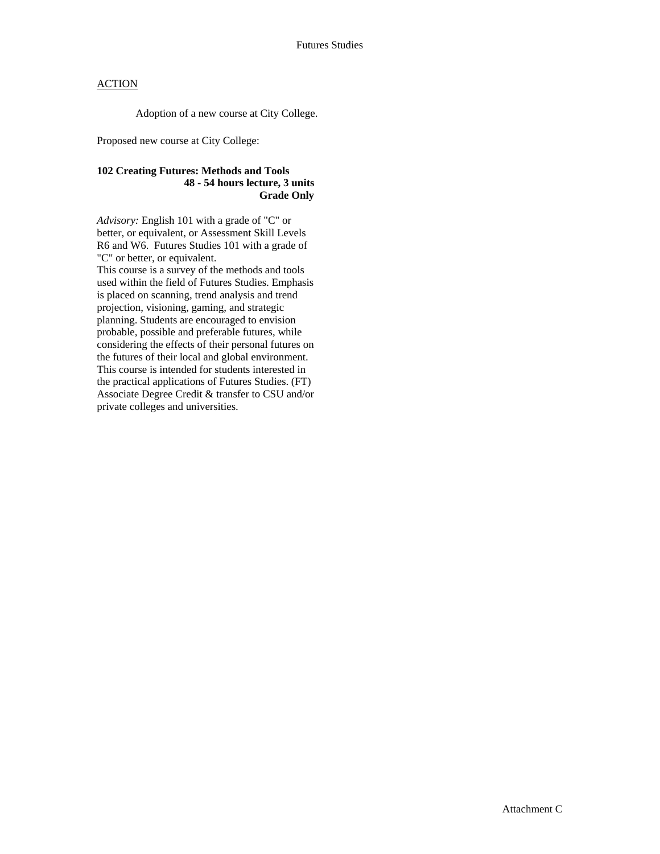Adoption of a new course at City College.

Proposed new course at City College:

### **102 Creating Futures: Methods and Tools 48 - 54 hours lecture, 3 units Grade Only**

*Advisory:* English 101 with a grade of "C" or better, or equivalent, or Assessment Skill Levels R6 and W6. Futures Studies 101 with a grade of "C" or better, or equivalent.

This course is a survey of the methods and tools used within the field of Futures Studies. Emphasis is placed on scanning, trend analysis and trend projection, visioning, gaming, and strategic planning. Students are encouraged to envision probable, possible and preferable futures, while considering the effects of their personal futures on the futures of their local and global environment. This course is intended for students interested in the practical applications of Futures Studies. (FT) Associate Degree Credit & transfer to CSU and/or private colleges and universities.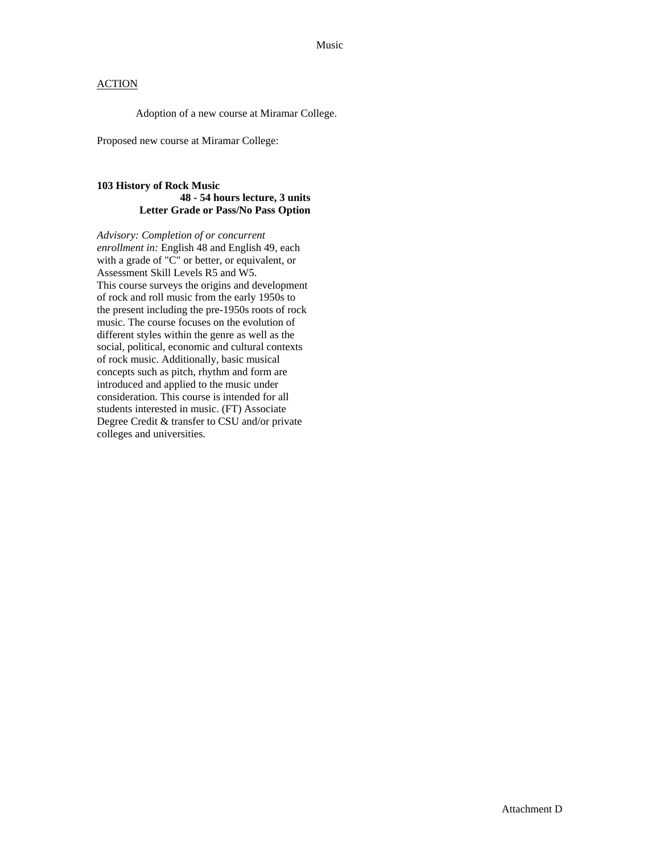Adoption of a new course at Miramar College.

Proposed new course at Miramar College:

### **103 History of Rock Music 48 - 54 hours lecture, 3 units Letter Grade or Pass/No Pass Option**

*Advisory: Completion of or concurrent enrollment in:* English 48 and English 49, each with a grade of "C" or better, or equivalent, or Assessment Skill Levels R5 and W5. This course surveys the origins and development of rock and roll music from the early 1950s to the present including the pre-1950s roots of rock music. The course focuses on the evolution of different styles within the genre as well as the social, political, economic and cultural contexts of rock music. Additionally, basic musical concepts such as pitch, rhythm and form are introduced and applied to the music under consideration. This course is intended for all students interested in music. (FT) Associate Degree Credit & transfer to CSU and/or private colleges and universities.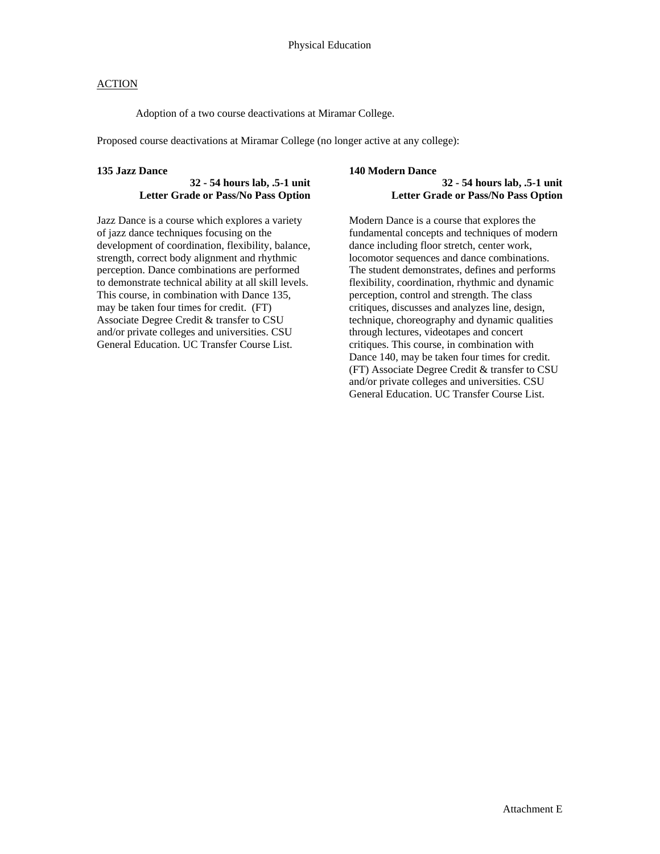Adoption of a two course deactivations at Miramar College.

Proposed course deactivations at Miramar College (no longer active at any college):

#### **135 Jazz Dance**

### **32 - 54 hours lab, .5-1 unit Letter Grade or Pass/No Pass Option**

Jazz Dance is a course which explores a variety of jazz dance techniques focusing on the development of coordination, flexibility, balance, strength, correct body alignment and rhythmic perception. Dance combinations are performed to demonstrate technical ability at all skill levels. This course, in combination with Dance 135, may be taken four times for credit. (FT) Associate Degree Credit & transfer to CSU and/or private colleges and universities. CSU General Education. UC Transfer Course List.

#### **140 Modern Dance**

#### **32 - 54 hours lab, .5-1 unit Letter Grade or Pass/No Pass Option**

Modern Dance is a course that explores the fundamental concepts and techniques of modern dance including floor stretch, center work, locomotor sequences and dance combinations. The student demonstrates, defines and performs flexibility, coordination, rhythmic and dynamic perception, control and strength. The class critiques, discusses and analyzes line, design, technique, choreography and dynamic qualities through lectures, videotapes and concert critiques. This course, in combination with Dance 140, may be taken four times for credit. (FT) Associate Degree Credit & transfer to CSU and/or private colleges and universities. CSU General Education. UC Transfer Course List.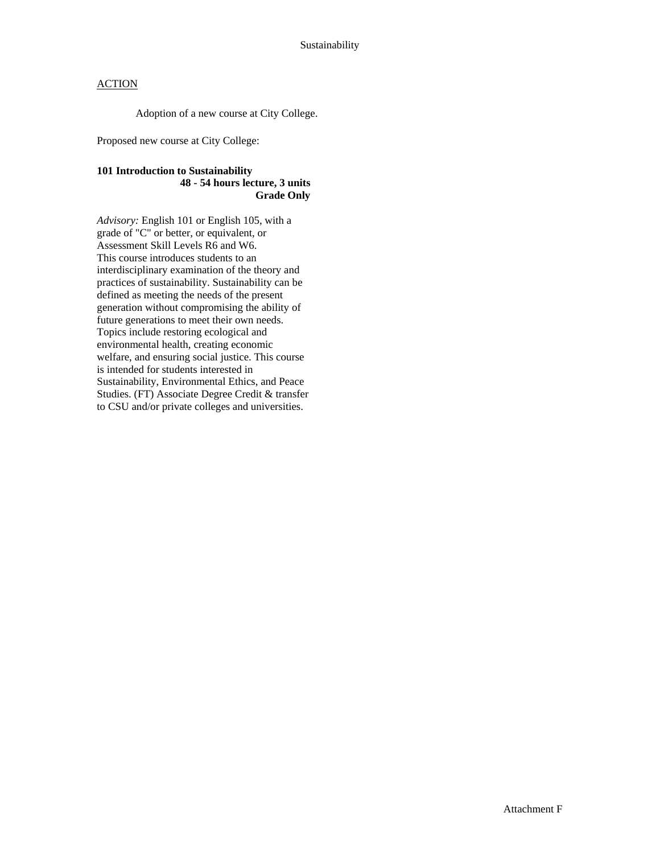Adoption of a new course at City College.

Proposed new course at City College:

### **101 Introduction to Sustainability 48 - 54 hours lecture, 3 units Grade Only**

*Advisory:* English 101 or English 105, with a grade of "C" or better, or equivalent, or Assessment Skill Levels R6 and W6. This course introduces students to an interdisciplinary examination of the theory and practices of sustainability. Sustainability can be defined as meeting the needs of the present generation without compromising the ability of future generations to meet their own needs. Topics include restoring ecological and environmental health, creating economic welfare, and ensuring social justice. This course is intended for students interested in Sustainability, Environmental Ethics, and Peace Studies. (FT) Associate Degree Credit & transfer to CSU and/or private colleges and universities.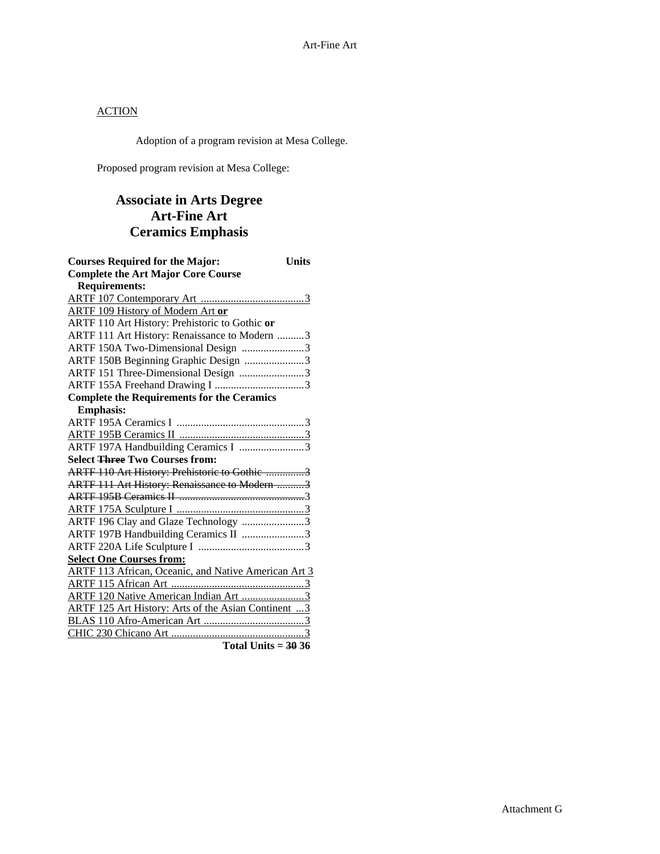Adoption of a program revision at Mesa College.

Proposed program revision at Mesa College:

## **Associate in Arts Degree Art-Fine Art Ceramics Emphasis**

| <b>Courses Required for the Major:</b>               | <b>Units</b> |
|------------------------------------------------------|--------------|
| <b>Complete the Art Major Core Course</b>            |              |
| <b>Requirements:</b>                                 |              |
|                                                      |              |
| <b>ARTF 109 History of Modern Art or</b>             |              |
| ARTF 110 Art History: Prehistoric to Gothic or       |              |
| ARTF 111 Art History: Renaissance to Modern 3        |              |
| ARTF 150A Two-Dimensional Design 3                   |              |
| ARTF 150B Beginning Graphic Design 3                 |              |
| ARTF 151 Three-Dimensional Design 3                  |              |
|                                                      |              |
| <b>Complete the Requirements for the Ceramics</b>    |              |
| <b>Emphasis:</b>                                     |              |
|                                                      |              |
|                                                      |              |
|                                                      |              |
| <b>Select Three Two Courses from:</b>                |              |
| ARTF 110 Art History: Prehistoric to Gothic 3        |              |
| ARTF 111 Art History: Renaissance to Modern 3        |              |
|                                                      |              |
|                                                      |              |
| ARTF 196 Clay and Glaze Technology 3                 |              |
| ARTF 197B Handbuilding Ceramics II 3                 |              |
|                                                      |              |
| <b>Select One Courses from:</b>                      |              |
| ARTF 113 African, Oceanic, and Native American Art 3 |              |
|                                                      |              |
| ARTF 120 Native American Indian Art 3                |              |
| ARTF 125 Art History: Arts of the Asian Continent  3 |              |
|                                                      |              |
|                                                      |              |
| Total Units = $3036$                                 |              |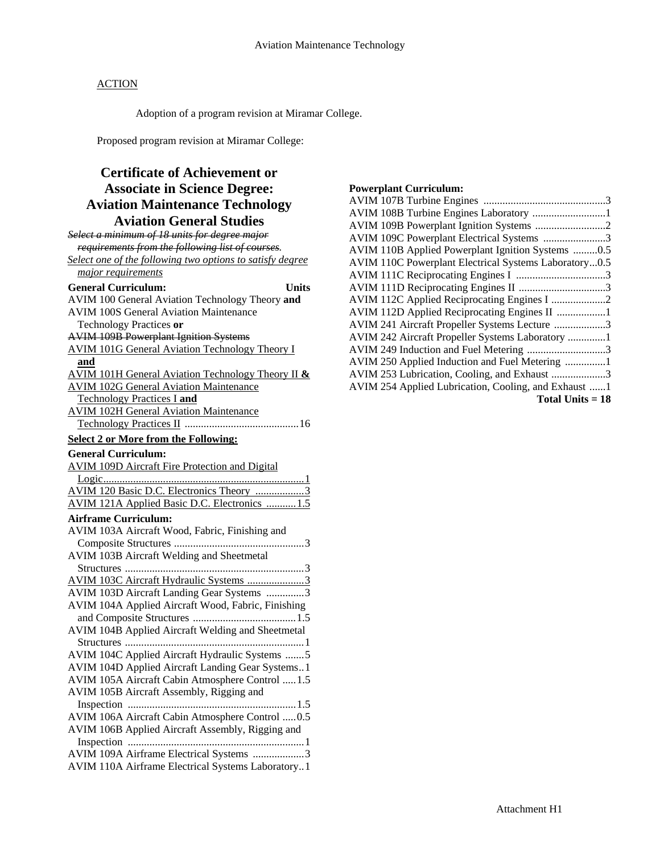Adoption of a program revision at Miramar College.

Proposed program revision at Miramar College:

## **Certificate of Achievement or Associate in Science Degree: Aviation Maintenance Technology Aviation General Studies**

| Select a minimum of 18 units for degree major             |
|-----------------------------------------------------------|
| requirements from the following list of courses.          |
| Select one of the following two options to satisfy degree |
| major requirements                                        |
| <b>General Curriculum:</b><br><b>Units</b>                |
| AVIM 100 General Aviation Technology Theory and           |
| <b>AVIM 100S General Aviation Maintenance</b>             |
| Technology Practices or                                   |
| <b>AVIM 109B Powerplant Ignition Systems</b>              |
| <b>AVIM 101G General Aviation Technology Theory I</b>     |
| <u>and</u>                                                |
| AVIM 101H General Aviation Technology Theory II &         |
| <b>AVIM 102G General Aviation Maintenance</b>             |
| <b>Technology Practices I and</b>                         |
| <b>AVIM 102H General Aviation Maintenance</b>             |
|                                                           |
| <b>Select 2 or More from the Following:</b>               |
| <b>General Curriculum:</b>                                |
| <b>AVIM 109D Aircraft Fire Protection and Digital</b>     |
|                                                           |
| AVIM 120 Basic D.C. Electronics Theory 3                  |
| AVIM 121A Applied Basic D.C. Electronics  1.5             |
| <b>Airframe Curriculum:</b>                               |
| AVIM 103A Aircraft Wood, Fabric, Finishing and            |
|                                                           |
| AVIM 103B Aircraft Welding and Sheetmetal                 |
|                                                           |
| AVIM 103C Aircraft Hydraulic Systems 3                    |
| AVIM 103D Aircraft Landing Gear Systems 3                 |
| AVIM 104A Applied Aircraft Wood, Fabric, Finishing        |
|                                                           |
| AVIM 104B Applied Aircraft Welding and Sheetmetal         |
|                                                           |
| AVIM 104C Applied Aircraft Hydraulic Systems 5            |
| AVIM 104D Applied Aircraft Landing Gear Systems1          |
| AVIM 105A Aircraft Cabin Atmosphere Control  1.5          |
| AVIM 105B Aircraft Assembly, Rigging and                  |
|                                                           |
| AVIM 106A Aircraft Cabin Atmosphere Control  0.5          |
| AVIM 106B Applied Aircraft Assembly, Rigging and          |
|                                                           |
| AVIM 109A Airframe Electrical Systems 3                   |
| AVIM 110A Airframe Electrical Systems Laboratory1         |

## **Powerplant Curriculum:**

| AVIM 108B Turbine Engines Laboratory 1                |
|-------------------------------------------------------|
| AVIM 109B Powerplant Ignition Systems 2               |
| AVIM 109C Powerplant Electrical Systems 3             |
| AVIM 110B Applied Powerplant Ignition Systems 0.5     |
| AVIM 110C Powerplant Electrical Systems Laboratory0.5 |
|                                                       |
|                                                       |
| AVIM 112C Applied Reciprocating Engines I 2           |
| AVIM 112D Applied Reciprocating Engines II 1          |
| AVIM 241 Aircraft Propeller Systems Lecture 3         |
| AVIM 242 Aircraft Propeller Systems Laboratory 1      |
| AVIM 249 Induction and Fuel Metering 3                |
| AVIM 250 Applied Induction and Fuel Metering 1        |
| AVIM 253 Lubrication, Cooling, and Exhaust 3          |
| AVIM 254 Applied Lubrication, Cooling, and Exhaust 1  |
| Total Units $= 18$                                    |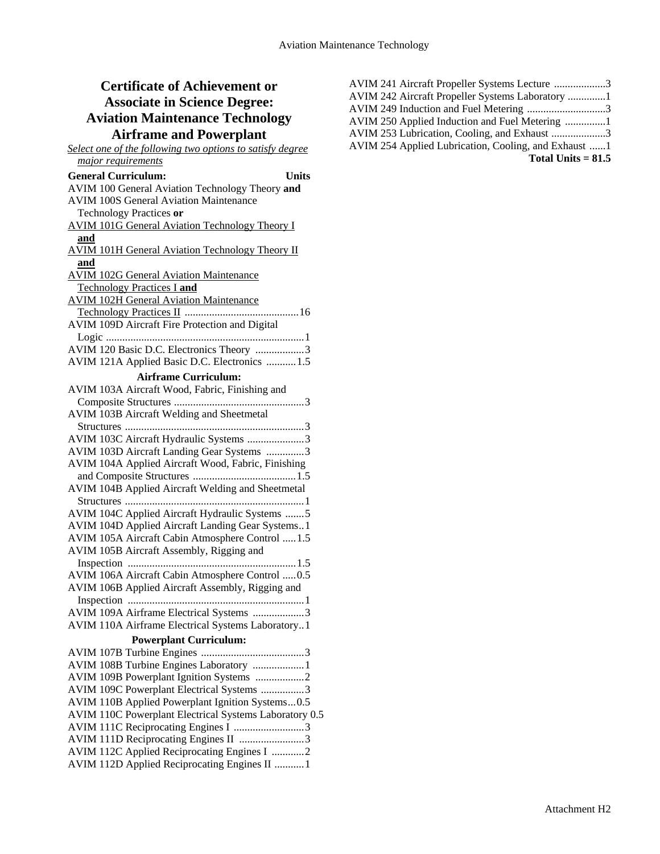# **Certificate of Achievement or Associate in Science Degree: Aviation Maintenance Technology**

| <b>Airframe and Powerplant</b>                            |
|-----------------------------------------------------------|
| Select one of the following two options to satisfy degree |
| major requirements                                        |
| <b>General Curriculum:</b><br>Units                       |
| AVIM 100 General Aviation Technology Theory and           |
| <b>AVIM 100S General Aviation Maintenance</b>             |
| Technology Practices or                                   |
| <b>AVIM 101G General Aviation Technology Theory I</b>     |
| and                                                       |
| <b>AVIM 101H General Aviation Technology Theory II</b>    |
| and                                                       |
| <b>AVIM 102G General Aviation Maintenance</b>             |
| <b>Technology Practices I and</b>                         |
| <b>AVIM 102H General Aviation Maintenance</b>             |
|                                                           |
| AVIM 109D Aircraft Fire Protection and Digital            |
|                                                           |
| AVIM 120 Basic D.C. Electronics Theory 3                  |
| AVIM 121A Applied Basic D.C. Electronics  1.5             |
| <b>Airframe Curriculum:</b>                               |
| AVIM 103A Aircraft Wood, Fabric, Finishing and            |
|                                                           |
| AVIM 103B Aircraft Welding and Sheetmetal                 |
|                                                           |
| AVIM 103C Aircraft Hydraulic Systems 3                    |
| AVIM 103D Aircraft Landing Gear Systems 3                 |
| AVIM 104A Applied Aircraft Wood, Fabric, Finishing        |
|                                                           |
| AVIM 104B Applied Aircraft Welding and Sheetmetal         |
|                                                           |
| AVIM 104C Applied Aircraft Hydraulic Systems 5            |
| AVIM 104D Applied Aircraft Landing Gear Systems1          |
| AVIM 105A Aircraft Cabin Atmosphere Control  1.5          |
| AVIM 105B Aircraft Assembly, Rigging and                  |
|                                                           |
| AVIM 106A Aircraft Cabin Atmosphere Control  0.5          |
| AVIM 106B Applied Aircraft Assembly, Rigging and          |
|                                                           |
| AVIM 109A Airframe Electrical Systems 3                   |
| AVIM 110A Airframe Electrical Systems Laboratory1         |
| <b>Powerplant Curriculum:</b>                             |
|                                                           |
| AVIM 108B Turbine Engines Laboratory  1                   |
| AVIM 109B Powerplant Ignition Systems 2                   |
| AVIM 109C Powerplant Electrical Systems 3                 |
| AVIM 110B Applied Powerplant Ignition Systems0.5          |
| AVIM 110C Powerplant Electrical Systems Laboratory 0.5    |
| AVIM 111C Reciprocating Engines I 3                       |
| AVIM 111D Reciprocating Engines II 3                      |
| AVIM 112C Applied Reciprocating Engines I 2               |

AVIM 112D Applied Reciprocating Engines II ...........1

| AVIM 241 Aircraft Propeller Systems Lecture 3      |  |
|----------------------------------------------------|--|
| AVIM 242 Aircraft Propeller Systems Laboratory 1   |  |
| AVIM 249 Induction and Fuel Metering 3             |  |
|                                                    |  |
| AVIM 253 Lubrication, Cooling, and Exhaust 3       |  |
| AVIM 254 Applied Lubrication, Cooling, and Exhaust |  |
| Total Units $= 81.5$                               |  |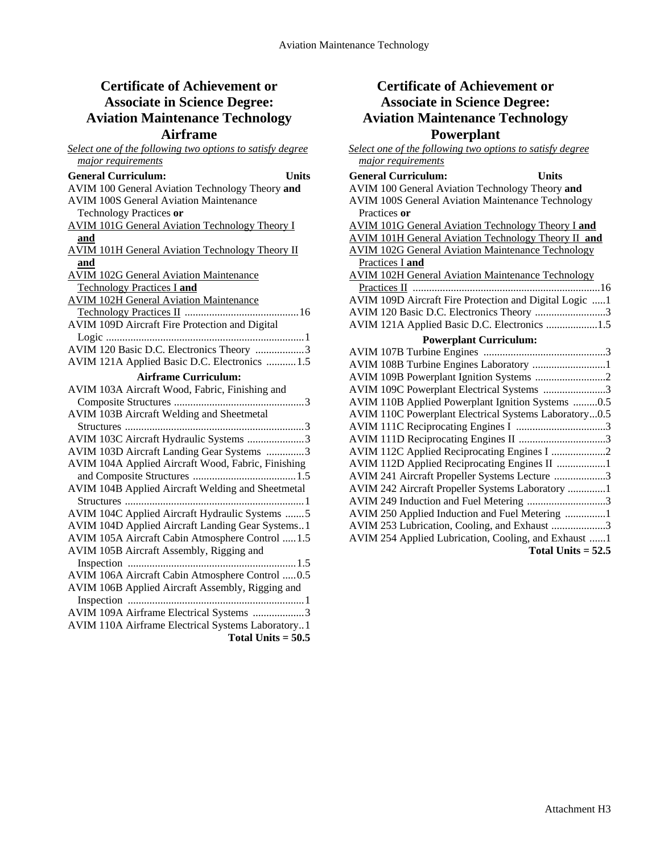## **Certificate of Achievement or Associate in Science Degree: Aviation Maintenance Technology Airframe**

| Select one of the following two options to satisfy degree |
|-----------------------------------------------------------|
| major requirements                                        |
| <b>General Curriculum:</b><br>Units                       |
| AVIM 100 General Aviation Technology Theory and           |
| <b>AVIM 100S General Aviation Maintenance</b>             |
| Technology Practices or                                   |
| <b>AVIM 101G General Aviation Technology Theory I</b>     |
| and                                                       |
| <b>AVIM 101H General Aviation Technology Theory II</b>    |
| and                                                       |
| <b>AVIM 102G General Aviation Maintenance</b>             |
| <b>Technology Practices I and</b>                         |
| <b>AVIM 102H General Aviation Maintenance</b>             |
|                                                           |
| AVIM 109D Aircraft Fire Protection and Digital            |
|                                                           |
| AVIM 120 Basic D.C. Electronics Theory 3                  |
| AVIM 121A Applied Basic D.C. Electronics  1.5             |
| <b>Airframe Curriculum:</b>                               |
| AVIM 103A Aircraft Wood, Fabric, Finishing and            |
|                                                           |
| AVIM 103B Aircraft Welding and Sheetmetal                 |
|                                                           |
| AVIM 103C Aircraft Hydraulic Systems 3                    |
| AVIM 103D Aircraft Landing Gear Systems 3                 |
| AVIM 104A Applied Aircraft Wood, Fabric, Finishing        |
|                                                           |
| AVIM 104B Applied Aircraft Welding and Sheetmetal         |
|                                                           |
| AVIM 104C Applied Aircraft Hydraulic Systems 5            |
| AVIM 104D Applied Aircraft Landing Gear Systems1          |
| AVIM 105A Aircraft Cabin Atmosphere Control  1.5          |
| AVIM 105B Aircraft Assembly, Rigging and                  |
|                                                           |
| AVIM 106A Aircraft Cabin Atmosphere Control  0.5          |
| AVIM 106B Applied Aircraft Assembly, Rigging and          |
|                                                           |
| AVIM 109A Airframe Electrical Systems 3                   |
| AVIM 110A Airframe Electrical Systems Laboratory1         |
| Total Units $= 50.5$                                      |

## **Certificate of Achievement or Associate in Science Degree: Aviation Maintenance Technology Powerplant**

| Select one of the following two options to satisfy degree  |
|------------------------------------------------------------|
| major requirements                                         |
| <b>General Curriculum:</b><br><b>Units</b>                 |
| AVIM 100 General Aviation Technology Theory and            |
| <b>AVIM 100S General Aviation Maintenance Technology</b>   |
| Practices or                                               |
| <b>AVIM 101G General Aviation Technology Theory I and</b>  |
| <b>AVIM 101H General Aviation Technology Theory II and</b> |
| <b>AVIM 102G General Aviation Maintenance Technology</b>   |
| Practices I and                                            |
| <b>AVIM 102H General Aviation Maintenance Technology</b>   |
|                                                            |
| AVIM 109D Aircraft Fire Protection and Digital Logic 1     |
| AVIM 120 Basic D.C. Electronics Theory 3                   |
| AVIM 121A Applied Basic D.C. Electronics 1.5               |
| <b>Powerplant Curriculum:</b>                              |
|                                                            |
| AVIM 108B Turbine Engines Laboratory 1                     |
|                                                            |
| AVIM 109C Powerplant Electrical Systems 3                  |
| AVIM 110B Applied Powerplant Ignition Systems 0.5          |
| AVIM 110C Powerplant Electrical Systems Laboratory0.5      |
|                                                            |
| AVIM 111D Reciprocating Engines II 3                       |
| AVIM 112C Applied Reciprocating Engines I 2                |
| AVIM 112D Applied Reciprocating Engines II 1               |
| AVIM 241 Aircraft Propeller Systems Lecture 3              |
| AVIM 242 Aircraft Propeller Systems Laboratory 1           |
| AVIM 249 Induction and Fuel Metering 3                     |
| AVIM 250 Applied Induction and Fuel Metering 1             |
| AVIM 253 Lubrication, Cooling, and Exhaust 3               |
| AVIM 254 Applied Lubrication, Cooling, and Exhaust 1       |
| Total Units $= 52.5$                                       |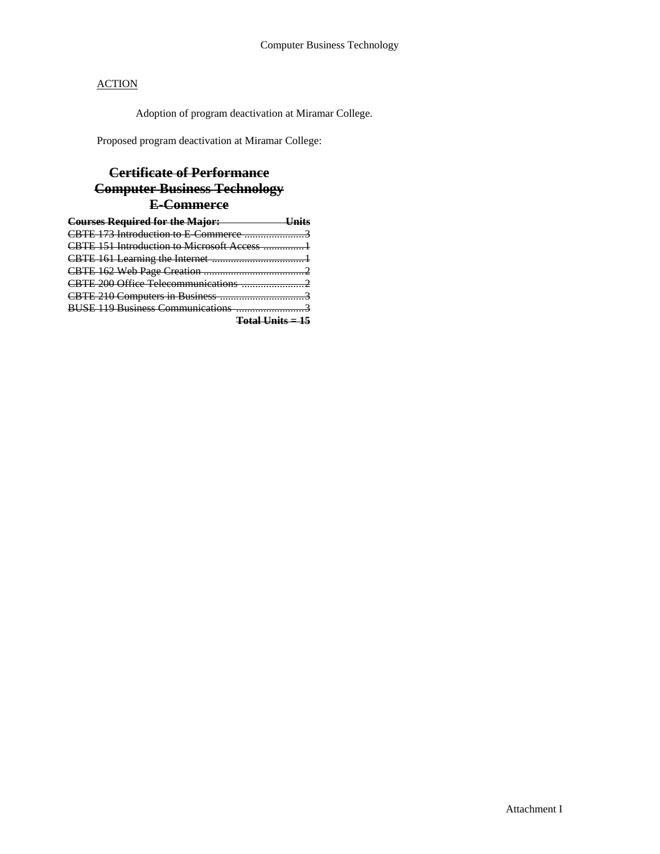Adoption of program deactivation at Miramar College.

Proposed program deactivation at Miramar College:

## **Certificate of Performance Computer Business Technology E-Commerce**

| <b>Courses Required for the Major:</b> U |  |
|------------------------------------------|--|
|                                          |  |
|                                          |  |
|                                          |  |
|                                          |  |
|                                          |  |
|                                          |  |
|                                          |  |
| Fotal Units = 15                         |  |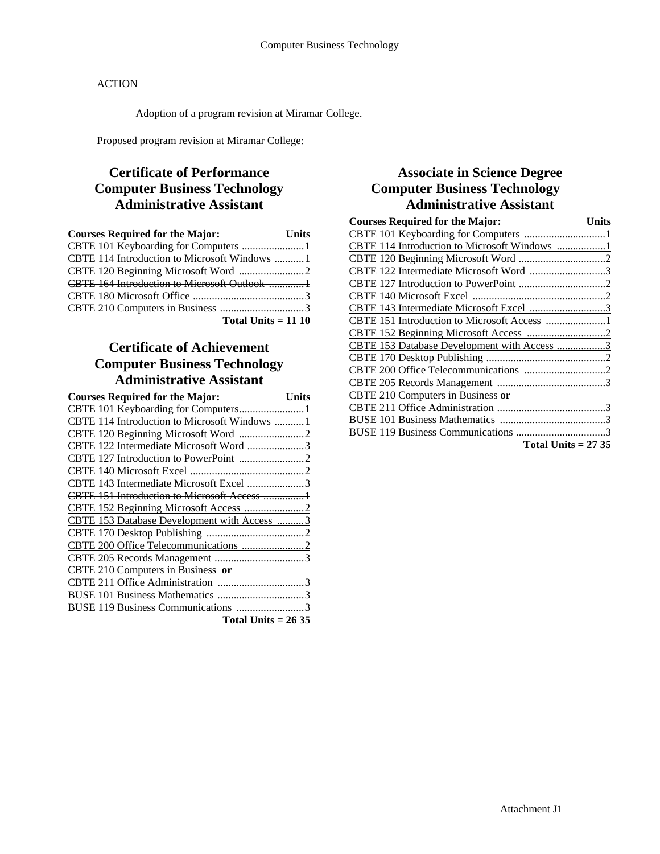Adoption of a program revision at Miramar College.

Proposed program revision at Miramar College:

## **Certificate of Performance Computer Business Technology Administrative Assistant**

| <b>Courses Required for the Major:</b>     | <b>Units</b> |
|--------------------------------------------|--------------|
| CBTE 101 Keyboarding for Computers 1       |              |
|                                            |              |
|                                            |              |
| CBTE 164 Introduction to Microsoft Outlook |              |
|                                            |              |
|                                            |              |
| Total Units $=$ $\frac{11}{10}$            |              |

## **Certificate of Achievement Computer Business Technology Administrative Assistant**

| <b>Courses Required for the Major:</b>        | Units |
|-----------------------------------------------|-------|
| CBTE 101 Keyboarding for Computers1           |       |
| CBTE 114 Introduction to Microsoft Windows  1 |       |
|                                               |       |
| CBTE 122 Intermediate Microsoft Word 3        |       |
|                                               |       |
|                                               |       |
| CBTE 143 Intermediate Microsoft Excel 3       |       |
| CBTE 151 Introduction to Microsoft Access 1   |       |
|                                               |       |
| CBTE 153 Database Development with Access 3   |       |
|                                               |       |
|                                               |       |
|                                               |       |
| CBTE 210 Computers in Business or             |       |
|                                               |       |
|                                               |       |
| BUSE 119 Business Communications 3            |       |
| Total Units $= 2635$                          |       |

## **Associate in Science Degree Computer Business Technology Administrative Assistant**

| <b>Courses Required for the Major:</b><br>Units |
|-------------------------------------------------|
|                                                 |
| CBTE 114 Introduction to Microsoft Windows 1    |
|                                                 |
| CBTE 122 Intermediate Microsoft Word 3          |
|                                                 |
|                                                 |
| CBTE 143 Intermediate Microsoft Excel 3         |
|                                                 |
|                                                 |
| CBTE 153 Database Development with Access 3     |
|                                                 |
|                                                 |
|                                                 |
| CBTE 210 Computers in Business or               |
|                                                 |
|                                                 |
|                                                 |
| Total Units $=$ 27 35                           |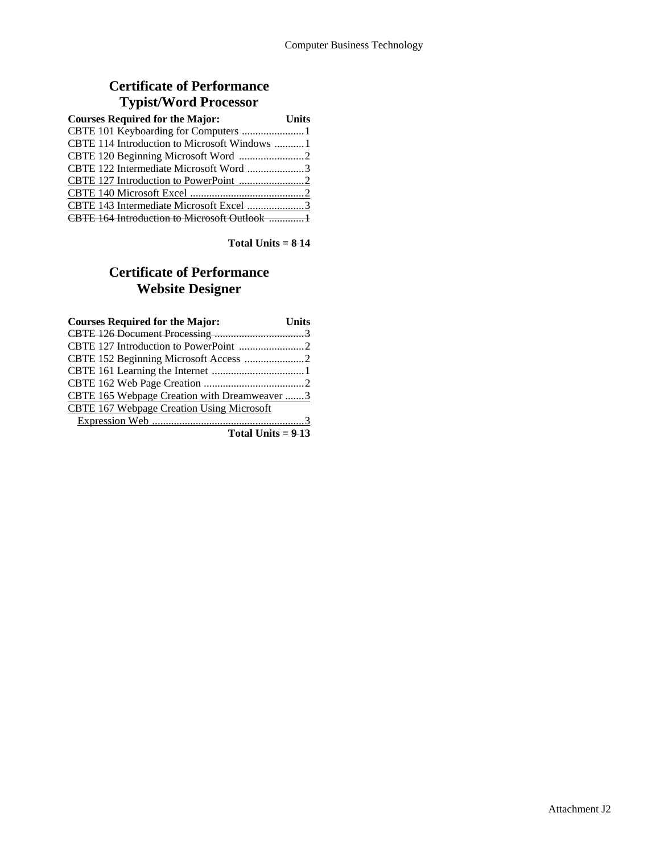## **Certificate of Performance Typist/Word Processor**

| <b>Courses Required for the Major:</b> | <b>Units</b> |
|----------------------------------------|--------------|
| CBTE 101 Keyboarding for Computers 1   |              |
|                                        |              |
|                                        |              |
| CBTE 122 Intermediate Microsoft Word 3 |              |
|                                        |              |
|                                        |              |
|                                        |              |
|                                        |              |

**Total Units = 8 14** 

## **Certificate of Performance Website Designer**

| <b>Courses Required for the Major:</b>       | <b>Units</b> |
|----------------------------------------------|--------------|
|                                              |              |
|                                              |              |
|                                              |              |
|                                              |              |
|                                              |              |
| CBTE 165 Webpage Creation with Dreamweaver 3 |              |
| CBTE 167 Webpage Creation Using Microsoft    |              |
|                                              |              |
| Total Units $= 9-13$                         |              |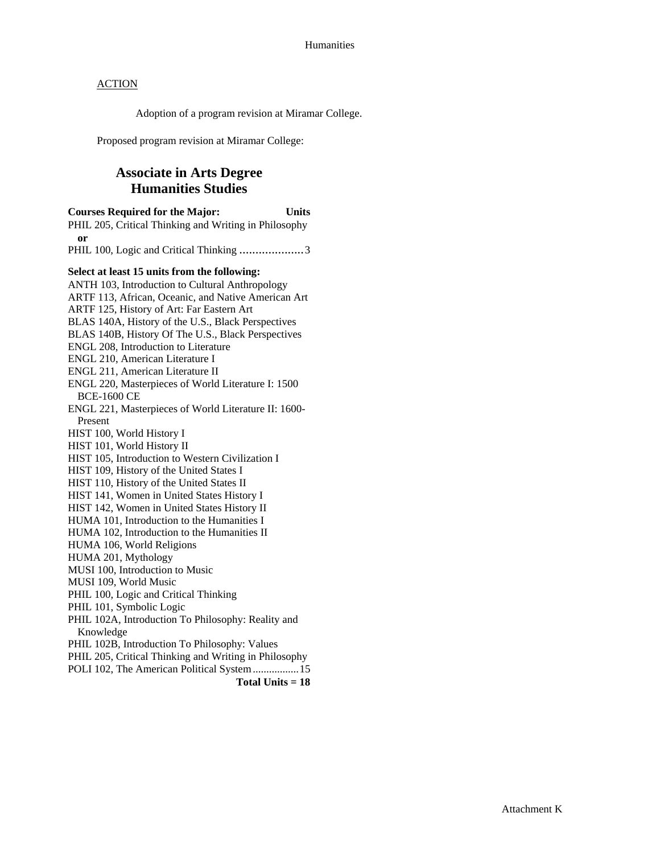Adoption of a program revision at Miramar College.

Proposed program revision at Miramar College:

## **Associate in Arts Degree Humanities Studies**

**Courses Required for the Major: Units**  PHIL 205, Critical Thinking and Writing in Philosophy **or** PHIL 100, Logic and Critical Thinking ........................3 **Select at least 15 units from the following:**  ANTH 103, Introduction to Cultural Anthropology ARTF 113, African, Oceanic, and Native American Art ARTF 125, History of Art: Far Eastern Art BLAS 140A, History of the U.S., Black Perspectives BLAS 140B, History Of The U.S., Black Perspectives ENGL 208, Introduction to Literature ENGL 210, American Literature I ENGL 211, American Literature II ENGL 220, Masterpieces of World Literature I: 1500 BCE-1600 CE ENGL 221, Masterpieces of World Literature II: 1600- Present HIST 100, World History I HIST 101, World History II HIST 105, Introduction to Western Civilization I HIST 109, History of the United States I HIST 110, History of the United States II HIST 141, Women in United States History I HIST 142, Women in United States History II HUMA 101, Introduction to the Humanities I HUMA 102, Introduction to the Humanities II HUMA 106, World Religions HUMA 201, Mythology MUSI 100, Introduction to Music MUSI 109, World Music PHIL 100, Logic and Critical Thinking PHIL 101, Symbolic Logic PHIL 102A, Introduction To Philosophy: Reality and Knowledge PHIL 102B, Introduction To Philosophy: Values PHIL 205, Critical Thinking and Writing in Philosophy POLI 102, The American Political System .................15 **Total Units = 18**